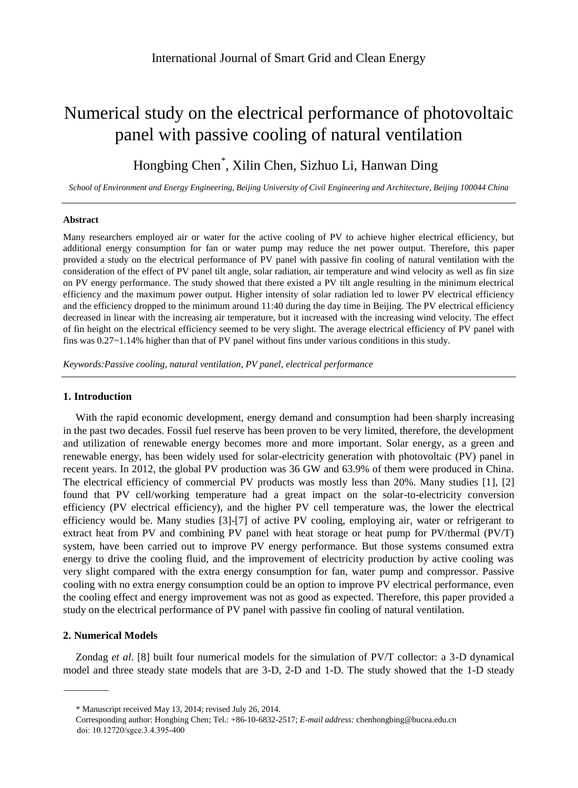# Numerical study on the electrical performance of photovoltaic panel with passive cooling of natural ventilation

# Hongbing Chen<sup>\*</sup>, Xilin Chen, Sizhuo Li, Hanwan Ding

*School of Environment and Energy Engineering, Beijing University of Civil Engineering and Architecture, Beijing 100044 China*

### **Abstract**

Many researchers employed air or water for the active cooling of PV to achieve higher electrical efficiency, but additional energy consumption for fan or water pump may reduce the net power output. Therefore, this paper provided a study on the electrical performance of PV panel with passive fin cooling of natural ventilation with the consideration of the effect of PV panel tilt angle, solar radiation, air temperature and wind velocity as well as fin size on PV energy performance. The study showed that there existed a PV tilt angle resulting in the minimum electrical efficiency and the maximum power output. Higher intensity of solar radiation led to lower PV electrical efficiency and the efficiency dropped to the minimum around 11:40 during the day time in Beijing. The PV electrical efficiency decreased in linear with the increasing air temperature, but it increased with the increasing wind velocity. The effect of fin height on the electrical efficiency seemed to be very slight. The average electrical efficiency of PV panel with fins was 0.27~1.14% higher than that of PV panel without fins under various conditions in this study.

*Keywords:Passive cooling, natural ventilation, PV panel, electrical performance*

# **1. Introduction**

With the rapid economic development, energy demand and consumption had been sharply increasing in the past two decades. Fossil fuel reserve has been proven to be very limited, therefore, the development and utilization of renewable energy becomes more and more important. Solar energy, as a green and renewable energy, has been widely used for solar-electricity generation with photovoltaic (PV) panel in recent years. In 2012, the global PV production was 36 GW and 63.9% of them were produced in China. The electrical efficiency of commercial PV products was mostly less than 20%. Many studies [1], [2] found that PV cell/working temperature had a great impact on the solar-to-electricity conversion efficiency (PV electrical efficiency), and the higher PV cell temperature was, the lower the electrical efficiency would be. Many studies [3]-[7] of active PV cooling, employing air, water or refrigerant to extract heat from PV and combining PV panel with heat storage or heat pump for PV/thermal (PV/T) system, have been carried out to improve PV energy performance. But those systems consumed extra energy to drive the cooling fluid, and the improvement of electricity production by active cooling was very slight compared with the extra energy consumption for fan, water pump and compressor. Passive cooling with no extra energy consumption could be an option to improve PV electrical performance, even the cooling effect and energy improvement was not as good as expected. Therefore, this paper provided a study on the electrical performance of PV panel with passive fin cooling of natural ventilation.

### **2. Numerical Models**

Zondag *et al*. [8] built four numerical models for the simulation of PV/T collector: a 3-D dynamical model and three steady state models that are 3-D, 2-D and 1-D. The study showed that the 1-D steady

<sup>\*</sup> Manuscript received May 13, 2014; revised July 26, 2014.

Corresponding author: Hongbing Chen; Tel.: +86-10-6832-2517; *E-mail address:* [chenhongbing@bucea.edu.cn](mailto:chenhongbing@bucea.edu.cn) doi: 10.12720/sgce.3.4.395-400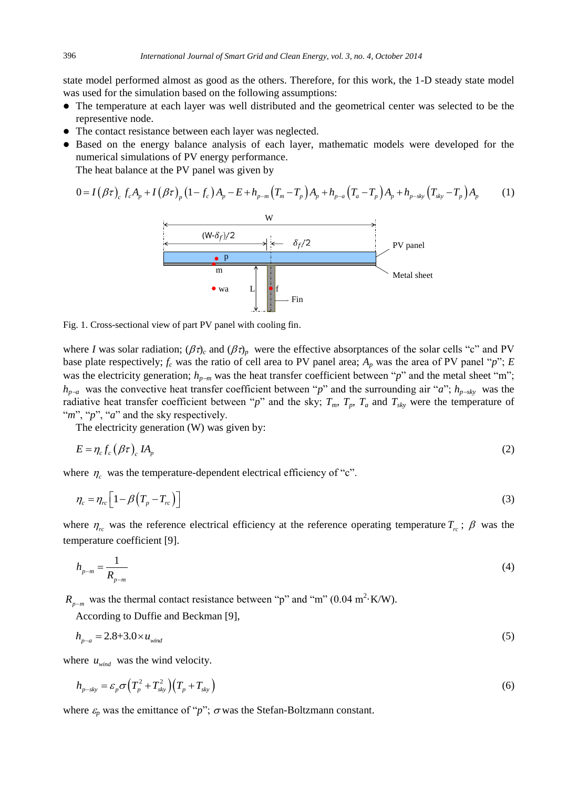state model performed almost as good as the others. Therefore, for this work, the 1-D steady state model was used for the simulation based on the following assumptions:

- The temperature at each layer was well distributed and the geometrical center was selected to be the representive node.
- The contact resistance between each layer was neglected.
- Based on the energy balance analysis of each layer, mathematic models were developed for the numerical simulations of PV energy performance.

The heat balance at the PV panel was given by

$$
0 = I(\beta \tau)_{c} f_{c} A_{p} + I(\beta \tau)_{p} (1 - f_{c}) A_{p} - E + h_{p-m} (T_{m} - T_{p}) A_{p} + h_{p-a} (T_{a} - T_{p}) A_{p} + h_{p-sky} (T_{sky} - T_{p}) A_{p}
$$
 (1)



Fig. 1. Cross-sectional view of part PV panel with cooling fin.

where *I* was solar radiation;  $(\beta \tau)_c$  and  $(\beta \tau)_p$  were the effective absorptances of the solar cells "c" and PV base plate respectively;  $f_c$  was the ratio of cell area to PV panel area;  $A_p$  was the area of PV panel " $p$ "; *E* was the electricity generation;  $h_{p-m}$  was the heat transfer coefficient between " $p$ " and the metal sheet "m";  $h_{p-a}$  was the convective heat transfer coefficient between "*p*" and the surrounding air "*a*";  $h_{p-sky}$  was the radiative heat transfer coefficient between "*p*" and the sky;  $T_m$ ,  $T_p$ ,  $T_a$  and  $T_{sky}$  were the temperature of "*m*", "*p*", "*a*" and the sky respectively.

The electricity generation (W) was given by:

$$
E = \eta_c f_c \left( \beta \tau \right)_{c} I A_p \tag{2}
$$

where  $\eta_c$  was the temperature-dependent electrical efficiency of "c".

$$
\eta_c = \eta_{rc} \Big[ 1 - \beta \Big( T_p - T_{rc} \Big) \Big] \tag{3}
$$

where  $\eta_{rc}$  was the reference electrical efficiency at the reference operating temperature  $T_{rc}$ ;  $\beta$  was the temperature coefficient [9].

$$
h_{p-m} = \frac{1}{R_{p-m}}\tag{4}
$$

 $R_{p-m}$  was the thermal contact resistance between "p" and "m" (0.04 m<sup>2</sup> K/W).

According to Duffie and Beckman [9],

$$
h_{p-a} = 2.8 + 3.0 \times u_{wind} \tag{5}
$$

where  $u_{wind}$  was the wind velocity.

$$
h_{p-sky} = \varepsilon_p \sigma \left( T_p^2 + T_{sky}^2 \right) \left( T_p + T_{sky} \right) \tag{6}
$$

where  $\varepsilon_p$  was the emittance of "*p*";  $\sigma$  was the Stefan-Boltzmann constant.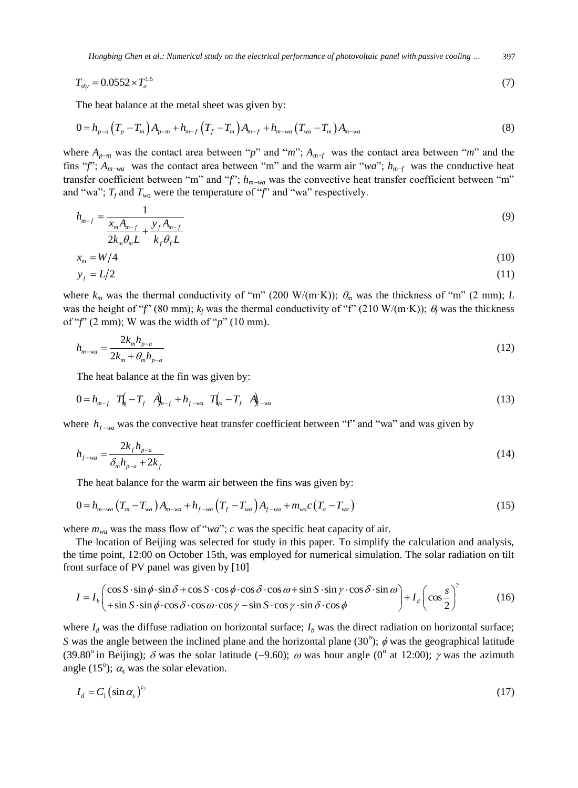*Hongbing Chen et al.: Numerical study on the electrical performance of photovoltaic panel with passive cooling …* 397

$$
T_{sky} = 0.0552 \times T_a^{1.5}
$$
 (7)

The heat balance at the metal sheet was given by:

$$
0 = h_{p-a} \left( T_p - T_m \right) A_{p-m} + h_{m-f} \left( T_f - T_m \right) A_{m-f} + h_{m-wa} \left( T_{wa} - T_m \right) A_{m-wa} \tag{8}
$$

where  $A_{p-m}$  was the contact area between "*p*" and "*m*";  $A_{m-f}$  was the contact area between "*m*" and the fins "*f*";  $A_{m\to\alpha}$  was the contact area between "m" and the warm air "*wa*";  $h_{m-f}$  was the conductive heat transfer coefficient between "m" and "f";  $h_{m-wa}$  was the convective heat transfer coefficient between "m" and "wa";  $T_f$  and  $T_{wa}$  were the temperature of " $f$ " and "wa" respectively.

$$
h_{m-f} = \frac{1}{\frac{x_m A_{m-f}}{2k_m \theta_m L} + \frac{y_f A_{m-f}}{k_f \theta_f L}}
$$
(9)

$$
x_m = W/4 \tag{10}
$$

$$
y_f = L/2 \tag{11}
$$

where  $k_m$  was the thermal conductivity of "m" (200 W/(m·K));  $\theta_m$  was the thickness of "m" (2 mm); *L* was the height of "*f*" (80 mm);  $k_f$  was the thermal conductivity of "f" (210 W/(m·K));  $\theta_f$  was the thickness of "*f*" (2 mm); W was the width of "*p*" (10 mm).

$$
h_{m-wa} = \frac{2k_m h_{p-a}}{2k_m + \theta_m h_{p-a}}
$$
(12)

The heat balance at the fin was given by:

$$
0 = h_{m-f} \ T_{k} \ -T_{f} \ A_{m-f} + h_{f-wa} \ T_{k} \ -T_{f} \ A_{f-wa} \tag{13}
$$

where  $h_{f-wa}$  was the convective heat transfer coefficient between "f" and "wa" and was given by

$$
h_{f-wa} = \frac{2k_f h_{p-a}}{\delta_m h_{p-a} + 2k_f} \tag{14}
$$

The heat balance for the warm air between the fins was given by:

$$
0 = h_{m-wa} (T_m - T_{wa}) A_{m-wa} + h_{f-wa} (T_f - T_{wa}) A_{f-wa} + m_{wa} c (T_a - T_{wa})
$$
\n(15)

where  $m_{wa}$  was the mass flow of "*wa*"; *c* was the specific heat capacity of air.

The location of Beijing was selected for study in this paper. To simplify the calculation and analysis, the time point, 12:00 on October 15th, was employed for numerical simulation. The solar radiation on tilt front surface of PV panel was given by [10]

$$
I = I_b \begin{pmatrix} \cos S \cdot \sin \phi \cdot \sin \delta + \cos S \cdot \cos \phi \cdot \cos \delta \cdot \cos \omega + \sin S \cdot \sin \gamma \cdot \cos \delta \cdot \sin \omega \\ + \sin S \cdot \sin \phi \cdot \cos \delta \cdot \cos \omega \cdot \cos \gamma - \sin S \cdot \cos \gamma \cdot \sin \delta \cdot \cos \phi \end{pmatrix} + I_d \begin{pmatrix} \cos S \\ \cos \frac{S}{2} \end{pmatrix}^2
$$
 (16)

where  $I_d$  was the diffuse radiation on horizontal surface;  $I_b$  was the direct radiation on horizontal surface; *S* was the angle between the inclined plane and the horizontal plane (30°);  $\phi$  was the geographical latitude (39.80<sup>o</sup> in Beijing);  $\delta$  was the solar latitude (-9.60);  $\omega$  was hour angle (0<sup>o</sup> at 12:00);  $\gamma$  was the azimuth angle (15<sup>o</sup>);  $\alpha_s$  was the solar elevation.

$$
I_d = C_1 \left( \sin \alpha_s \right)^{c_2} \tag{17}
$$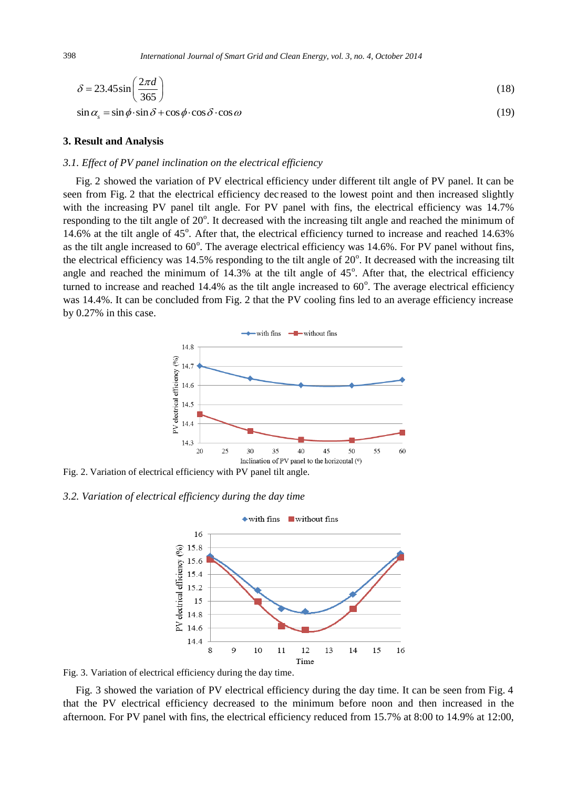$$
\delta = 23.45 \sin \left( \frac{2\pi d}{365} \right) \tag{18}
$$

 $\sin \alpha = \sin \phi \cdot \sin \delta + \cos \phi \cdot \cos \delta \cdot \cos \omega$  (19)

#### **3. Result and Analysis**

#### *3.1. Effect of PV panel inclination on the electrical efficiency*

Fig. 2 showed the variation of PV electrical efficiency under different tilt angle of PV panel. It can be seen from Fig. 2 that the electrical efficiency dec reased to the lowest point and then increased slightly with the increasing PV panel tilt angle. For PV panel with fins, the electrical efficiency was 14.7% responding to the tilt angle of 20°. It decreased with the increasing tilt angle and reached the minimum of 14.6% at the tilt angle of 45°. After that, the electrical efficiency turned to increase and reached 14.63% as the tilt angle increased to  $60^{\circ}$ . The average electrical efficiency was 14.6%. For PV panel without fins, the electrical efficiency was  $14.5\%$  responding to the tilt angle of  $20^\circ$ . It decreased with the increasing tilt angle and reached the minimum of  $14.3\%$  at the tilt angle of  $45^\circ$ . After that, the electrical efficiency turned to increase and reached  $14.4\%$  as the tilt angle increased to  $60^\circ$ . The average electrical efficiency was 14.4%. It can be concluded from Fig. 2 that the PV cooling fins led to an average efficiency increase by 0.27% in this case.



Fig. 2. Variation of electrical efficiency with PV panel tilt angle.

#### *3.2. Variation of electrical efficiency during the day time*



Fig. 3. Variation of electrical efficiency during the day time.

Fig. 3 showed the variation of PV electrical efficiency during the day time. It can be seen from Fig. 4 that the PV electrical efficiency decreased to the minimum before noon and then increased in the afternoon. For PV panel with fins, the electrical efficiency reduced from 15.7% at 8:00 to 14.9% at 12:00,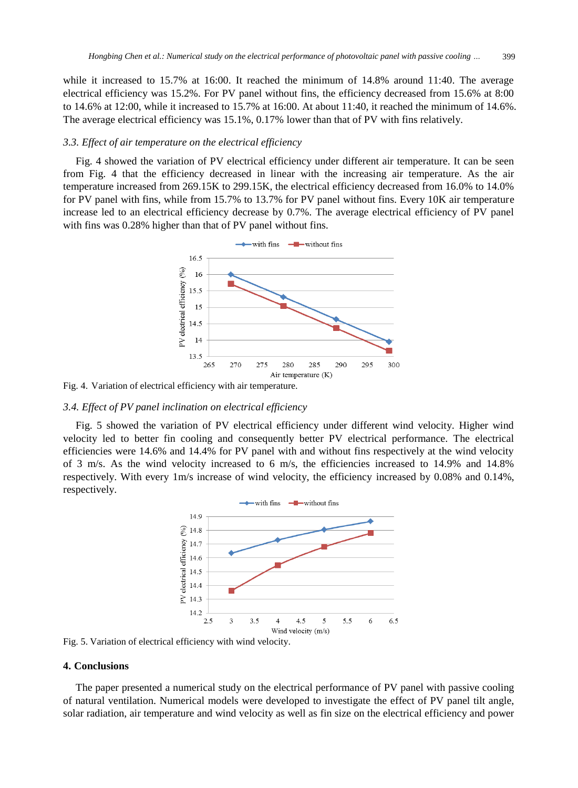while it increased to 15.7% at 16:00. It reached the minimum of 14.8% around 11:40. The average electrical efficiency was 15.2%. For PV panel without fins, the efficiency decreased from 15.6% at 8:00 to 14.6% at 12:00, while it increased to 15.7% at 16:00. At about 11:40, it reached the minimum of 14.6%. The average electrical efficiency was 15.1%, 0.17% lower than that of PV with fins relatively.

#### *3.3. Effect of air temperature on the electrical efficiency*

Fig. 4 showed the variation of PV electrical efficiency under different air temperature. It can be seen from Fig. 4 that the efficiency decreased in linear with the increasing air temperature. As the air temperature increased from 269.15K to 299.15K, the electrical efficiency decreased from 16.0% to 14.0% for PV panel with fins, while from 15.7% to 13.7% for PV panel without fins. Every 10K air temperature increase led to an electrical efficiency decrease by 0.7%. The average electrical efficiency of PV panel with fins was 0.28% higher than that of PV panel without fins.



Fig. 4. Variation of electrical efficiency with air temperature.

#### *3.4. Effect of PV panel inclination on electrical efficiency*

Fig. 5 showed the variation of PV electrical efficiency under different wind velocity. Higher wind velocity led to better fin cooling and consequently better PV electrical performance. The electrical efficiencies were 14.6% and 14.4% for PV panel with and without fins respectively at the wind velocity of 3 m/s. As the wind velocity increased to 6 m/s, the efficiencies increased to 14.9% and 14.8% respectively. With every 1m/s increase of wind velocity, the efficiency increased by 0.08% and 0.14%, respectively.



Fig. 5. Variation of electrical efficiency with wind velocity.

## **4. Conclusions**

The paper presented a numerical study on the electrical performance of PV panel with passive cooling of natural ventilation. Numerical models were developed to investigate the effect of PV panel tilt angle, solar radiation, air temperature and wind velocity as well as fin size on the electrical efficiency and power